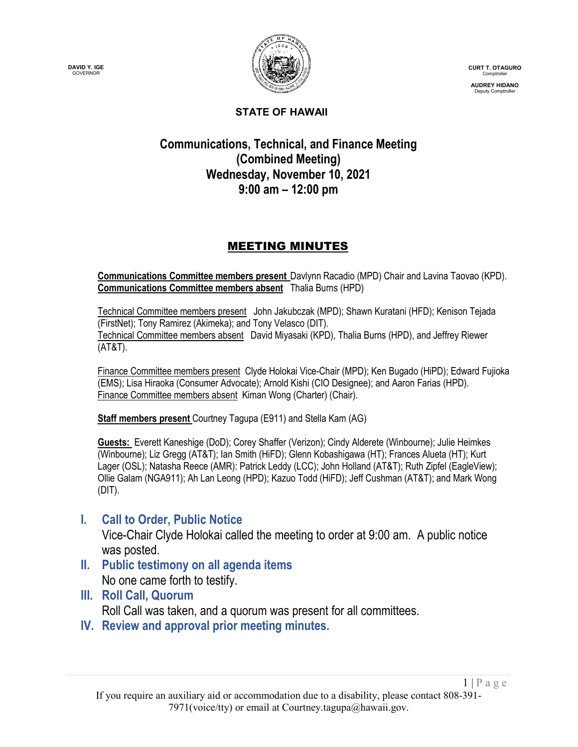



**CURT T. OTAGURO** Comptroller

**AUDREY HIDANO** Deputy Comptroller

#### **STATE OF HAWAII**

# **Communications, Technical, and Finance Meeting (Combined Meeting) Wednesday, November 10, 2021 9:00 am – 12:00 pm**

# MEETING MINUTES

**Communications Committee members present** Davlynn Racadio (MPD) Chair and Lavina Taovao (KPD). **Communications Committee members absent** Thalia Burns (HPD)

Technical Committee members present John Jakubczak (MPD); Shawn Kuratani (HFD); Kenison Tejada (FirstNet); Tony Ramirez (Akimeka); and Tony Velasco (DIT). Technical Committee members absent David Miyasaki (KPD), Thalia Burns (HPD), and Jeffrey Riewer (AT&T).

Finance Committee members present Clyde Holokai Vice-Chair (MPD); Ken Bugado (HiPD); Edward Fujioka (EMS); Lisa Hiraoka (Consumer Advocate); Arnold Kishi (CIO Designee); and Aaron Farias (HPD). Finance Committee members absent Kiman Wong (Charter) (Chair).

**Staff members present** Courtney Tagupa (E911) and Stella Kam (AG)

**Guests:** Everett Kaneshige (DoD); Corey Shaffer (Verizon); Cindy Alderete (Winbourne); Julie Heimkes (Winbourne); Liz Gregg (AT&T); Ian Smith (HiFD); Glenn Kobashigawa (HT); Frances Alueta (HT); Kurt Lager (OSL); Natasha Reece (AMR): Patrick Leddy (LCC); John Holland (AT&T); Ruth Zipfel (EagleView); Ollie Galam (NGA911); Ah Lan Leong (HPD); Kazuo Todd (HiFD); Jeff Cushman (AT&T); and Mark Wong (DIT).

# **I. Call to Order, Public Notice**

Vice-Chair Clyde Holokai called the meeting to order at 9:00 am. A public notice was posted.

- **II. Public testimony on all agenda items** No one came forth to testify.
- **III. Roll Call, Quorum**

Roll Call was taken, and a quorum was present for all committees.

**IV. Review and approval prior meeting minutes.**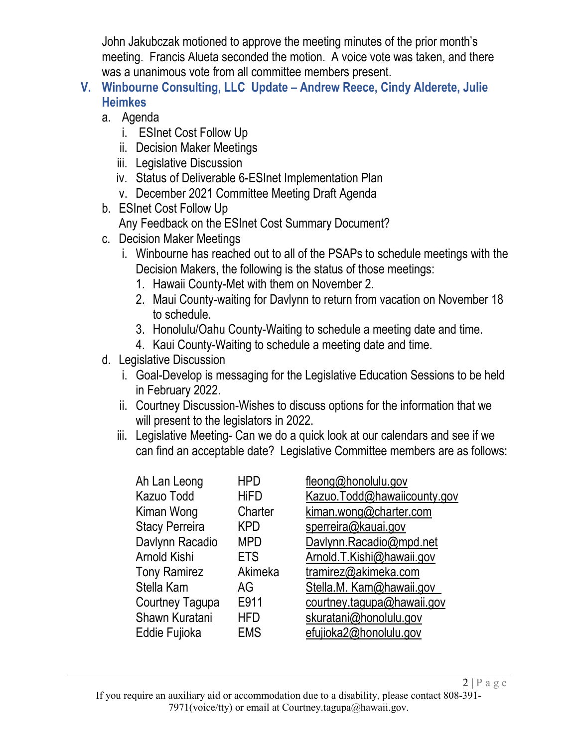John Jakubczak motioned to approve the meeting minutes of the prior month's meeting. Francis Alueta seconded the motion. A voice vote was taken, and there was a unanimous vote from all committee members present.

- **V. Winbourne Consulting, LLC Update – Andrew Reece, Cindy Alderete, Julie Heimkes**
	- a. Agenda
		- i. ESInet Cost Follow Up
		- ii. Decision Maker Meetings
		- iii. Legislative Discussion
		- iv. Status of Deliverable 6-ESInet Implementation Plan
		- v. December 2021 Committee Meeting Draft Agenda
	- b. ESInet Cost Follow Up
		- Any Feedback on the ESInet Cost Summary Document?
	- c. Decision Maker Meetings
		- i. Winbourne has reached out to all of the PSAPs to schedule meetings with the Decision Makers, the following is the status of those meetings:
			- 1. Hawaii County-Met with them on November 2.
			- 2. Maui County-waiting for Davlynn to return from vacation on November 18 to schedule.
			- 3. Honolulu/Oahu County-Waiting to schedule a meeting date and time.
			- 4. Kaui County-Waiting to schedule a meeting date and time.
	- d. Legislative Discussion
		- i. Goal-Develop is messaging for the Legislative Education Sessions to be held in February 2022.
		- ii. Courtney Discussion-Wishes to discuss options for the information that we will present to the legislators in 2022.
		- iii. Legislative Meeting- Can we do a quick look at our calendars and see if we can find an acceptable date? Legislative Committee members are as follows:

| <b>HPD</b>  | fleong@honolulu.gov         |
|-------------|-----------------------------|
| <b>HiFD</b> | Kazuo.Todd@hawaiicounty.gov |
| Charter     | kiman.wong@charter.com      |
| <b>KPD</b>  | sperreira@kauai.gov         |
| <b>MPD</b>  | Davlynn.Racadio@mpd.net     |
| <b>ETS</b>  | Arnold.T.Kishi@hawaii.gov   |
| Akimeka     | tramirez@akimeka.com        |
| AG          | Stella.M. Kam@hawaii.gov    |
| E911        | courtney.tagupa@hawaii.gov  |
| <b>HFD</b>  | skuratani@honolulu.gov      |
| <b>EMS</b>  | efujioka2@honolulu.gov      |
|             |                             |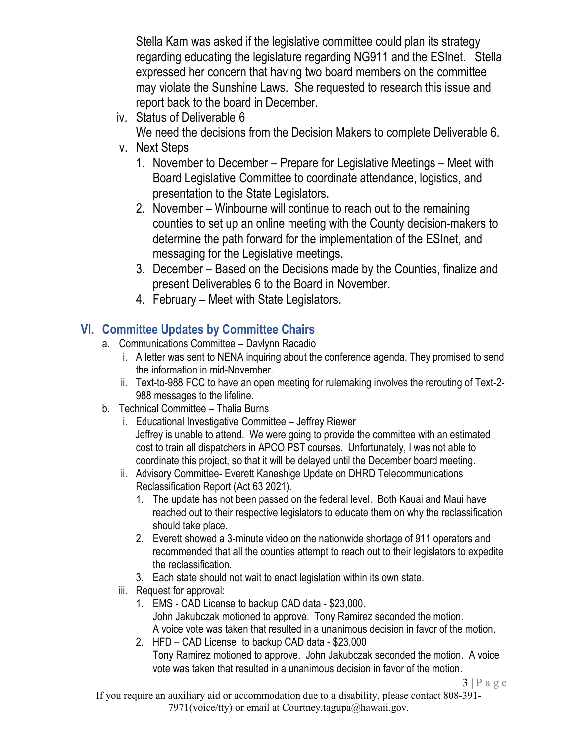Stella Kam was asked if the legislative committee could plan its strategy regarding educating the legislature regarding NG911 and the ESInet. Stella expressed her concern that having two board members on the committee may violate the Sunshine Laws. She requested to research this issue and report back to the board in December.

iv. Status of Deliverable 6

We need the decisions from the Decision Makers to complete Deliverable 6.

- v. Next Steps
	- 1. November to December Prepare for Legislative Meetings Meet with Board Legislative Committee to coordinate attendance, logistics, and presentation to the State Legislators.
	- 2. November Winbourne will continue to reach out to the remaining counties to set up an online meeting with the County decision-makers to determine the path forward for the implementation of the ESInet, and messaging for the Legislative meetings.
	- 3. December Based on the Decisions made by the Counties, finalize and present Deliverables 6 to the Board in November.
	- 4. February Meet with State Legislators.

# **VI. Committee Updates by Committee Chairs**

- a. Communications Committee Davlynn Racadio
	- i. A letter was sent to NENA inquiring about the conference agenda. They promised to send the information in mid-November.
	- ii. Text-to-988 FCC to have an open meeting for rulemaking involves the rerouting of Text-2- 988 messages to the lifeline.
- b. Technical Committee Thalia Burns
	- i. Educational Investigative Committee Jeffrey Riewer Jeffrey is unable to attend. We were going to provide the committee with an estimated cost to train all dispatchers in APCO PST courses. Unfortunately, I was not able to coordinate this project, so that it will be delayed until the December board meeting.
	- ii. Advisory Committee- Everett Kaneshige Update on DHRD Telecommunications Reclassification Report (Act 63 2021).
		- 1. The update has not been passed on the federal level. Both Kauai and Maui have reached out to their respective legislators to educate them on why the reclassification should take place.
		- 2. Everett showed a 3-minute video on the nationwide shortage of 911 operators and recommended that all the counties attempt to reach out to their legislators to expedite the reclassification.
		- 3. Each state should not wait to enact legislation within its own state.
	- iii. Request for approval:
		- 1. EMS CAD License to backup CAD data \$23,000. John Jakubczak motioned to approve. Tony Ramirez seconded the motion. A voice vote was taken that resulted in a unanimous decision in favor of the motion.
		- 2. HFD CAD License to backup CAD data \$23,000 Tony Ramirez motioned to approve. John Jakubczak seconded the motion. A voice vote was taken that resulted in a unanimous decision in favor of the motion.

 $3 | P \text{ a ge}$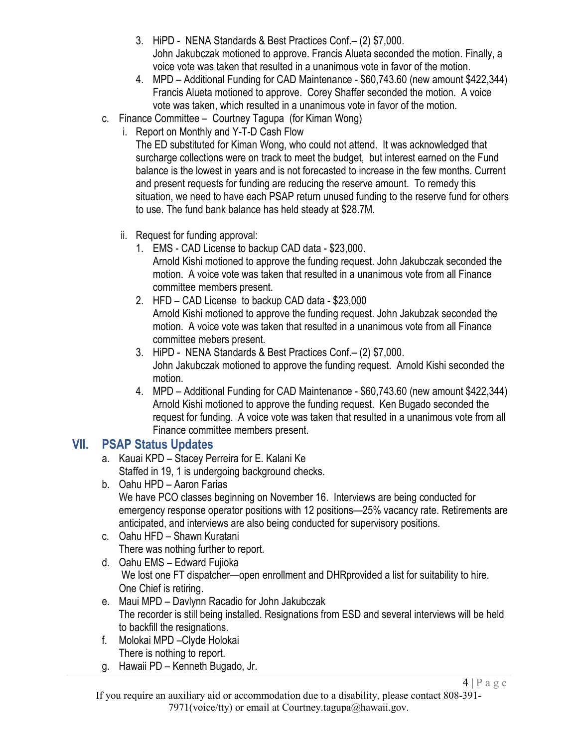- 3. HiPD NENA Standards & Best Practices Conf.– (2) \$7,000. John Jakubczak motioned to approve. Francis Alueta seconded the motion. Finally, a voice vote was taken that resulted in a unanimous vote in favor of the motion.
- 4. MPD Additional Funding for CAD Maintenance \$60,743.60 (new amount \$422,344) Francis Alueta motioned to approve. Corey Shaffer seconded the motion. A voice vote was taken, which resulted in a unanimous vote in favor of the motion.
- c. Finance Committee Courtney Tagupa (for Kiman Wong)
	- i. Report on Monthly and Y-T-D Cash Flow

The ED substituted for Kiman Wong, who could not attend. It was acknowledged that surcharge collections were on track to meet the budget, but interest earned on the Fund balance is the lowest in years and is not forecasted to increase in the few months. Current and present requests for funding are reducing the reserve amount. To remedy this situation, we need to have each PSAP return unused funding to the reserve fund for others to use. The fund bank balance has held steady at \$28.7M.

- ii. Request for funding approval:
	- 1. EMS CAD License to backup CAD data \$23,000. Arnold Kishi motioned to approve the funding request. John Jakubczak seconded the motion. A voice vote was taken that resulted in a unanimous vote from all Finance committee members present.
	- 2. HFD CAD License to backup CAD data \$23,000 Arnold Kishi motioned to approve the funding request. John Jakubzak seconded the motion. A voice vote was taken that resulted in a unanimous vote from all Finance committee mebers present.
	- 3. HiPD NENA Standards & Best Practices Conf.– (2) \$7,000. John Jakubczak motioned to approve the funding request. Arnold Kishi seconded the motion.
	- 4. MPD Additional Funding for CAD Maintenance \$60,743.60 (new amount \$422,344) Arnold Kishi motioned to approve the funding request. Ken Bugado seconded the request for funding. A voice vote was taken that resulted in a unanimous vote from all Finance committee members present.

## **VII. PSAP Status Updates**

- a. Kauai KPD Stacey Perreira for E. Kalani Ke Staffed in 19, 1 is undergoing background checks.
- b. Oahu HPD Aaron Farias We have PCO classes beginning on November 16. Interviews are being conducted for emergency response operator positions with 12 positions—25% vacancy rate. Retirements are anticipated, and interviews are also being conducted for supervisory positions.
- c. Oahu HFD Shawn Kuratani There was nothing further to report.
- d. Oahu EMS Edward Fujioka We lost one FT dispatcher—open enrollment and DHRprovided a list for suitability to hire. One Chief is retiring.
- e. Maui MPD Davlynn Racadio for John Jakubczak The recorder is still being installed. Resignations from ESD and several interviews will be held to backfill the resignations.
- f. Molokai MPD –Clyde Holokai There is nothing to report.
- g. Hawaii PD Kenneth Bugado, Jr.